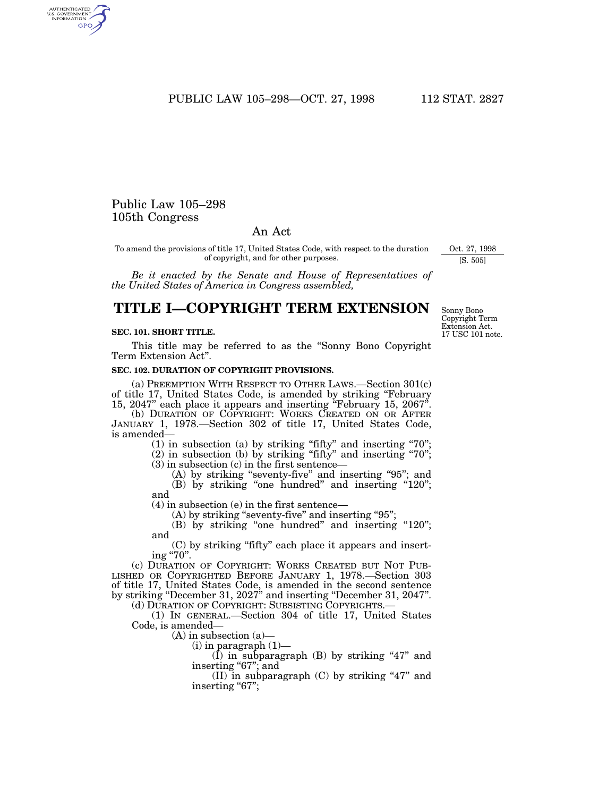PUBLIC LAW 105-298-OCT. 27, 1998 112 STAT. 2827

# Public Law 105–298 105th Congress

AUTHENTICATED<br>U.S. GOVERNMENT<br>INFORMATION GPO

# An Act

To amend the provisions of title 17, United States Code, with respect to the duration of copyright, and for other purposes.

*Be it enacted by the Senate and House of Representatives of the United States of America in Congress assembled,*

# **TITLE I—COPYRIGHT TERM EXTENSION**

### **SEC. 101. SHORT TITLE.**

This title may be referred to as the ''Sonny Bono Copyright Term Extension Act''.

## **SEC. 102. DURATION OF COPYRIGHT PROVISIONS.**

(a) PREEMPTION WITH RESPECT TO OTHER LAWS.—Section 301(c) of title 17, United States Code, is amended by striking ''February 15, 2047'' each place it appears and inserting ''February 15, 2067''.

(b) DURATION OF COPYRIGHT: WORKS CREATED ON OR AFTER JANUARY 1, 1978.—Section 302 of title 17, United States Code, is amended—

 $(1)$  in subsection  $(a)$  by striking "fifty" and inserting "70";

(2) in subsection (b) by striking ''fifty'' and inserting ''70''; (3) in subsection (c) in the first sentence—

(A) by striking "seventy-five" and inserting "95"; and (B) by striking "one hundred" and inserting "120";

and (4) in subsection (e) in the first sentence—

(A) by striking "seventy-five" and inserting "95"; (B) by striking "one hundred" and inserting "120"; and

(C) by striking ''fifty'' each place it appears and inserting "70".

(c) DURATION OF COPYRIGHT: WORKS CREATED BUT NOT PUB-LISHED OR COPYRIGHTED BEFORE JANUARY 1, 1978.—Section 303 of title 17, United States Code, is amended in the second sentence by striking ''December 31, 2027'' and inserting ''December 31, 2047''.

(d) DURATION OF COPYRIGHT: SUBSISTING COPYRIGHTS.—

(1) IN GENERAL.—Section 304 of title 17, United States Code, is amended—

(A) in subsection (a)—

(i) in paragraph (1)—

 $(\overline{I})$  in subparagraph  $(B)$  by striking "47" and inserting "67"; and

(II) in subparagraph  $(C)$  by striking "47" and inserting "67";

17 USC 101 note. Sonny Bono Copyright Term Extension Act.

Oct. 27, 1998 [S. 505]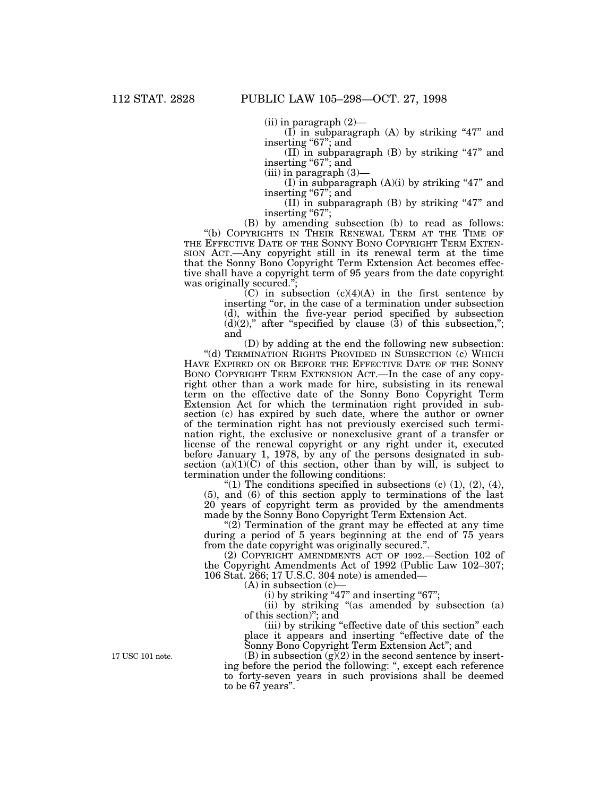$(ii)$  in paragraph  $(2)$ —

 $(I)$  in subparagraph  $(A)$  by striking "47" and inserting "67"; and

(II) in subparagraph  $(B)$  by striking "47" and inserting "67"; and

(iii) in paragraph (3)—

(I) in subparagraph  $(A)(i)$  by striking "47" and inserting "67"; and

(II) in subparagraph  $(B)$  by striking "47" and inserting "67";

(B) by amending subsection (b) to read as follows: ''(b) COPYRIGHTS IN THEIR RENEWAL TERM AT THE TIME OF THE EFFECTIVE DATE OF THE SONNY BONO COPYRIGHT TERM EXTEN-SION ACT.—Any copyright still in its renewal term at the time that the Sonny Bono Copyright Term Extension Act becomes effective shall have a copyright term of 95 years from the date copyright was originally secured.'';

 $\rm (C)$  in subsection  $\rm (c)(4)(A)$  in the first sentence by inserting "or, in the case of a termination under subsection (d), within the five-year period specified by subsection  $(d)(2)$ ," after "specified by clause  $(3)$  of this subsection,"; and

(D) by adding at the end the following new subsection: ''(d) TERMINATION RIGHTS PROVIDED IN SUBSECTION (c) WHICH HAVE EXPIRED ON OR BEFORE THE EFFECTIVE DATE OF THE SONNY BONO COPYRIGHT TERM EXTENSION ACT.—In the case of any copyright other than a work made for hire, subsisting in its renewal term on the effective date of the Sonny Bono Copyright Term Extension Act for which the termination right provided in subsection (c) has expired by such date, where the author or owner of the termination right has not previously exercised such termination right, the exclusive or nonexclusive grant of a transfer or license of the renewal copyright or any right under it, executed before January 1, 1978, by any of the persons designated in subsection  $(a)(1)(\tilde{C})$  of this section, other than by will, is subject to termination under the following conditions:

"(1) The conditions specified in subsections (c)  $(1)$ ,  $(2)$ ,  $(4)$ , (5), and (6) of this section apply to terminations of the last 20 years of copyright term as provided by the amendments made by the Sonny Bono Copyright Term Extension Act.

"(2) Termination of the grant may be effected at any time during a period of 5 years beginning at the end of 75 years from the date copyright was originally secured.''.

(2) COPYRIGHT AMENDMENTS ACT OF 1992.—Section 102 of the Copyright Amendments Act of 1992 (Public Law 102–307; 106 Stat. 266; 17 U.S.C. 304 note) is amended—

(A) in subsection (c)—

 $(i)$  by striking "47" and inserting "67";

(ii) by striking ''(as amended by subsection (a) of this section)''; and

(iii) by striking ''effective date of this section'' each place it appears and inserting "effective date of the Sonny Bono Copyright Term Extension Act''; and

 $(B)$  in subsection  $(g)(2)$  in the second sentence by inserting before the period the following: '', except each reference to forty-seven years in such provisions shall be deemed to be 67 years''.

17 USC 101 note.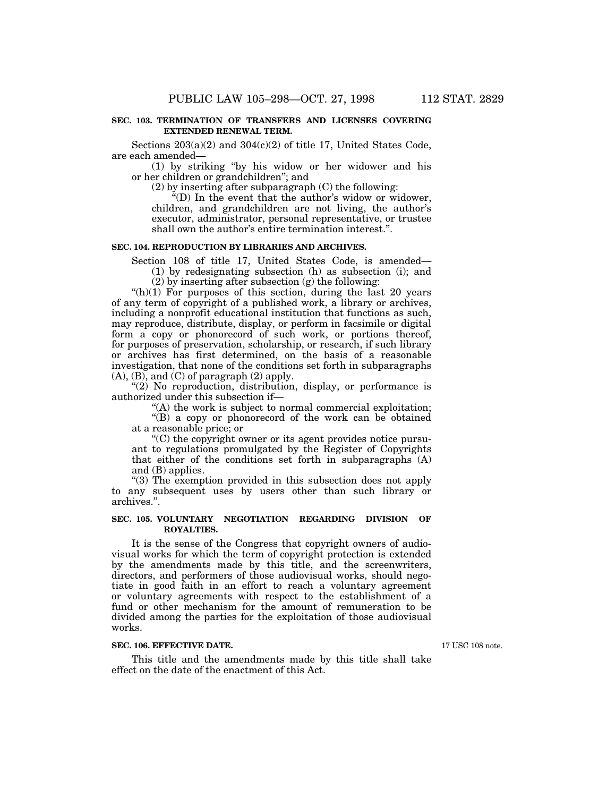### **SEC. 103. TERMINATION OF TRANSFERS AND LICENSES COVERING EXTENDED RENEWAL TERM.**

Sections  $203(a)(2)$  and  $304(c)(2)$  of title 17, United States Code, are each amended—

(1) by striking ''by his widow or her widower and his or her children or grandchildren''; and

(2) by inserting after subparagraph (C) the following:

''(D) In the event that the author's widow or widower, children, and grandchildren are not living, the author's executor, administrator, personal representative, or trustee shall own the author's entire termination interest.''.

### **SEC. 104. REPRODUCTION BY LIBRARIES AND ARCHIVES.**

Section 108 of title 17, United States Code, is amended— (1) by redesignating subsection (h) as subsection (i); and

(2) by inserting after subsection (g) the following:

" $(h)(1)$  For purposes of this section, during the last 20 years of any term of copyright of a published work, a library or archives, including a nonprofit educational institution that functions as such, may reproduce, distribute, display, or perform in facsimile or digital form a copy or phonorecord of such work, or portions thereof, for purposes of preservation, scholarship, or research, if such library or archives has first determined, on the basis of a reasonable investigation, that none of the conditions set forth in subparagraphs  $(A)$ ,  $(B)$ , and  $(C)$  of paragraph  $(2)$  apply.

''(2) No reproduction, distribution, display, or performance is authorized under this subsection if—

"(A) the work is subject to normal commercial exploitation;

''(B) a copy or phonorecord of the work can be obtained at a reasonable price; or

 $C$ ) the copyright owner or its agent provides notice pursuant to regulations promulgated by the Register of Copyrights that either of the conditions set forth in subparagraphs (A) and (B) applies.

''(3) The exemption provided in this subsection does not apply to any subsequent uses by users other than such library or archives.''.

### **SEC. 105. VOLUNTARY NEGOTIATION REGARDING DIVISION OF ROYALTIES.**

It is the sense of the Congress that copyright owners of audiovisual works for which the term of copyright protection is extended by the amendments made by this title, and the screenwriters, directors, and performers of those audiovisual works, should negotiate in good faith in an effort to reach a voluntary agreement or voluntary agreements with respect to the establishment of a fund or other mechanism for the amount of remuneration to be divided among the parties for the exploitation of those audiovisual works.

### **SEC. 106. EFFECTIVE DATE.**

This title and the amendments made by this title shall take effect on the date of the enactment of this Act.

17 USC 108 note.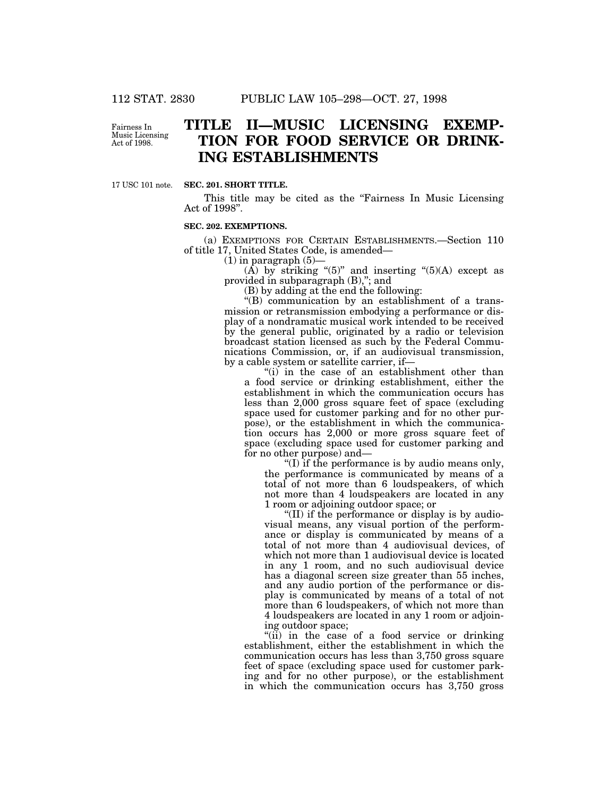Fairness In Music Licensing Act of 1998.

# **TITLE II—MUSIC LICENSING EXEMP-TION FOR FOOD SERVICE OR DRINK-ING ESTABLISHMENTS**

17 USC 101 note.

### **SEC. 201. SHORT TITLE.**

This title may be cited as the "Fairness In Music Licensing" Act of 1998''.

### **SEC. 202. EXEMPTIONS.**

(a) EXEMPTIONS FOR CERTAIN ESTABLISHMENTS.—Section 110 of title 17, United States Code, is amended—

 $(1)$  in paragraph  $(5)$ —

(A) by striking " $(5)$ " and inserting " $(5)(A)$  except as provided in subparagraph (B),"; and

(B) by adding at the end the following:

''(B) communication by an establishment of a transmission or retransmission embodying a performance or display of a nondramatic musical work intended to be received by the general public, originated by a radio or television broadcast station licensed as such by the Federal Communications Commission, or, if an audiovisual transmission, by a cable system or satellite carrier, if—

"(i) in the case of an establishment other than a food service or drinking establishment, either the establishment in which the communication occurs has less than 2,000 gross square feet of space (excluding space used for customer parking and for no other purpose), or the establishment in which the communication occurs has 2,000 or more gross square feet of space (excluding space used for customer parking and for no other purpose) and—

''(I) if the performance is by audio means only, the performance is communicated by means of a total of not more than 6 loudspeakers, of which not more than 4 loudspeakers are located in any 1 room or adjoining outdoor space; or

''(II) if the performance or display is by audiovisual means, any visual portion of the performance or display is communicated by means of a total of not more than 4 audiovisual devices, of which not more than 1 audiovisual device is located in any 1 room, and no such audiovisual device has a diagonal screen size greater than 55 inches, and any audio portion of the performance or display is communicated by means of a total of not more than 6 loudspeakers, of which not more than 4 loudspeakers are located in any 1 room or adjoining outdoor space;

"(ii) in the case of a food service or drinking establishment, either the establishment in which the communication occurs has less than 3,750 gross square feet of space (excluding space used for customer parking and for no other purpose), or the establishment in which the communication occurs has 3,750 gross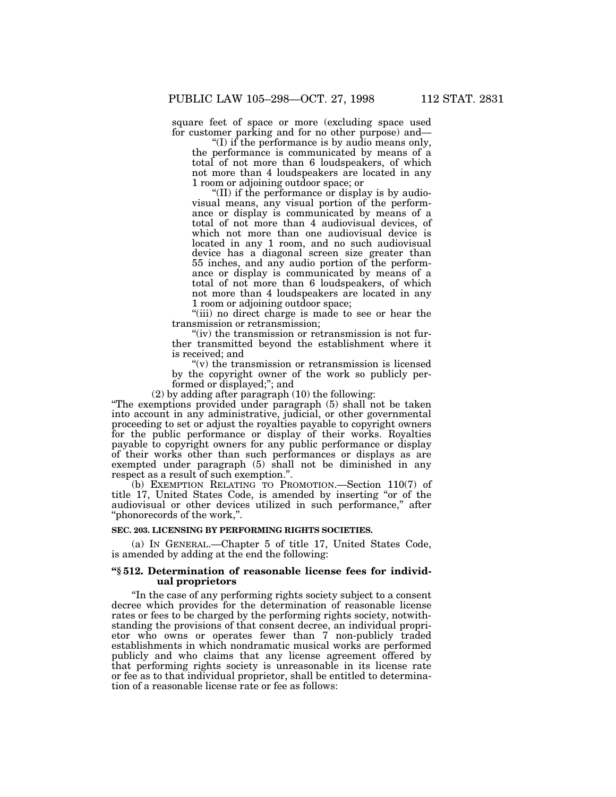square feet of space or more (excluding space used for customer parking and for no other purpose) and—

''(I) if the performance is by audio means only, the performance is communicated by means of a total of not more than 6 loudspeakers, of which not more than 4 loudspeakers are located in any 1 room or adjoining outdoor space; or

''(II) if the performance or display is by audiovisual means, any visual portion of the performance or display is communicated by means of a total of not more than 4 audiovisual devices, of which not more than one audiovisual device is located in any 1 room, and no such audiovisual device has a diagonal screen size greater than 55 inches, and any audio portion of the performance or display is communicated by means of a total of not more than 6 loudspeakers, of which not more than 4 loudspeakers are located in any 1 room or adjoining outdoor space;

''(iii) no direct charge is made to see or hear the transmission or retransmission;

"(iv) the transmission or retransmission is not further transmitted beyond the establishment where it is received; and

" $(v)$  the transmission or retransmission is licensed by the copyright owner of the work so publicly performed or displayed;''; and

(2) by adding after paragraph (10) the following:

''The exemptions provided under paragraph (5) shall not be taken into account in any administrative, judicial, or other governmental proceeding to set or adjust the royalties payable to copyright owners for the public performance or display of their works. Royalties payable to copyright owners for any public performance or display of their works other than such performances or displays as are exempted under paragraph (5) shall not be diminished in any respect as a result of such exemption.''.

(b) EXEMPTION RELATING TO PROMOTION.—Section 110(7) of title 17, United States Code, is amended by inserting ''or of the audiovisual or other devices utilized in such performance,'' after ''phonorecords of the work,''.

### **SEC. 203. LICENSING BY PERFORMING RIGHTS SOCIETIES.**

(a) IN GENERAL.—Chapter 5 of title 17, United States Code, is amended by adding at the end the following:

### **''§ 512. Determination of reasonable license fees for individual proprietors**

''In the case of any performing rights society subject to a consent decree which provides for the determination of reasonable license rates or fees to be charged by the performing rights society, notwithstanding the provisions of that consent decree, an individual proprietor who owns or operates fewer than 7 non-publicly traded establishments in which nondramatic musical works are performed publicly and who claims that any license agreement offered by that performing rights society is unreasonable in its license rate or fee as to that individual proprietor, shall be entitled to determination of a reasonable license rate or fee as follows: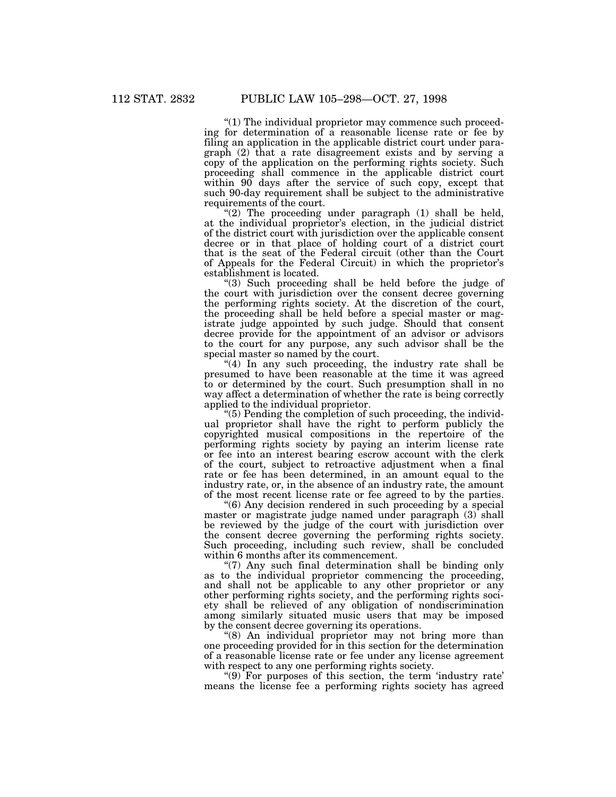''(1) The individual proprietor may commence such proceeding for determination of a reasonable license rate or fee by filing an application in the applicable district court under paragraph (2) that a rate disagreement exists and by serving a copy of the application on the performing rights society. Such proceeding shall commence in the applicable district court within 90 days after the service of such copy, except that such 90-day requirement shall be subject to the administrative requirements of the court.

" $(2)$  The proceeding under paragraph  $(1)$  shall be held, at the individual proprietor's election, in the judicial district of the district court with jurisdiction over the applicable consent decree or in that place of holding court of a district court that is the seat of the Federal circuit (other than the Court of Appeals for the Federal Circuit) in which the proprietor's establishment is located.

''(3) Such proceeding shall be held before the judge of the court with jurisdiction over the consent decree governing the performing rights society. At the discretion of the court, the proceeding shall be held before a special master or magistrate judge appointed by such judge. Should that consent decree provide for the appointment of an advisor or advisors to the court for any purpose, any such advisor shall be the special master so named by the court.

"(4) In any such proceeding, the industry rate shall be presumed to have been reasonable at the time it was agreed to or determined by the court. Such presumption shall in no way affect a determination of whether the rate is being correctly applied to the individual proprietor.

 $(5)$  Pending the completion of such proceeding, the individual proprietor shall have the right to perform publicly the copyrighted musical compositions in the repertoire of the performing rights society by paying an interim license rate or fee into an interest bearing escrow account with the clerk of the court, subject to retroactive adjustment when a final rate or fee has been determined, in an amount equal to the industry rate, or, in the absence of an industry rate, the amount of the most recent license rate or fee agreed to by the parties.

 $(6)$  Any decision rendered in such proceeding by a special master or magistrate judge named under paragraph (3) shall be reviewed by the judge of the court with jurisdiction over the consent decree governing the performing rights society. Such proceeding, including such review, shall be concluded within 6 months after its commencement.

"(7) Any such final determination shall be binding only as to the individual proprietor commencing the proceeding, and shall not be applicable to any other proprietor or any other performing rights society, and the performing rights society shall be relieved of any obligation of nondiscrimination among similarly situated music users that may be imposed by the consent decree governing its operations.

"(8) An individual proprietor may not bring more than one proceeding provided for in this section for the determination of a reasonable license rate or fee under any license agreement with respect to any one performing rights society.

" $(9)$  For purposes of this section, the term 'industry rate' means the license fee a performing rights society has agreed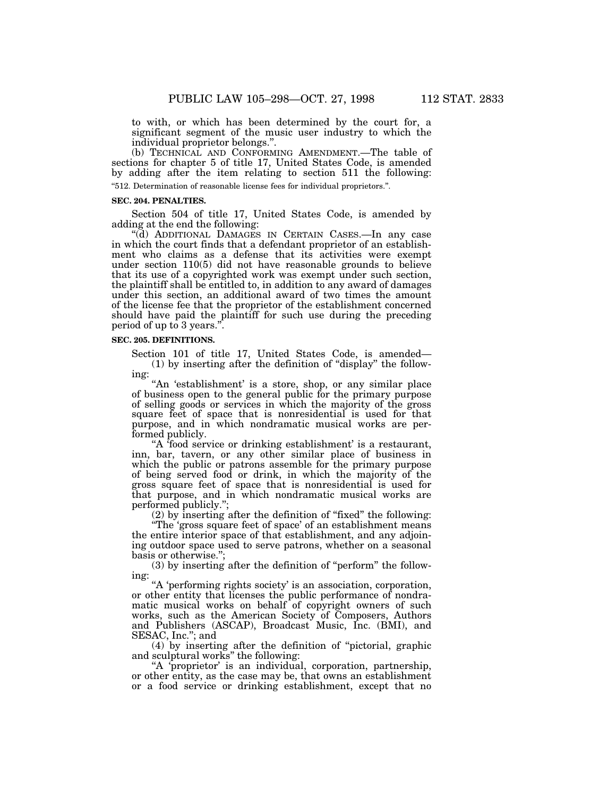to with, or which has been determined by the court for, a significant segment of the music user industry to which the individual proprietor belongs.''.

(b) TECHNICAL AND CONFORMING AMENDMENT.—The table of sections for chapter 5 of title 17, United States Code, is amended by adding after the item relating to section 511 the following: ''512. Determination of reasonable license fees for individual proprietors.''.

#### **SEC. 204. PENALTIES.**

Section 504 of title 17, United States Code, is amended by adding at the end the following:

''(d) ADDITIONAL DAMAGES IN CERTAIN CASES.—In any case in which the court finds that a defendant proprietor of an establishment who claims as a defense that its activities were exempt under section 110(5) did not have reasonable grounds to believe that its use of a copyrighted work was exempt under such section, the plaintiff shall be entitled to, in addition to any award of damages under this section, an additional award of two times the amount of the license fee that the proprietor of the establishment concerned should have paid the plaintiff for such use during the preceding period of up to 3 years.''.

### **SEC. 205. DEFINITIONS.**

Section 101 of title 17, United States Code, is amended— (1) by inserting after the definition of ''display'' the following:

"An 'establishment' is a store, shop, or any similar place of business open to the general public for the primary purpose of selling goods or services in which the majority of the gross square feet of space that is nonresidential is used for that purpose, and in which nondramatic musical works are performed publicly.

"A food service or drinking establishment' is a restaurant, inn, bar, tavern, or any other similar place of business in which the public or patrons assemble for the primary purpose of being served food or drink, in which the majority of the gross square feet of space that is nonresidential is used for that purpose, and in which nondramatic musical works are performed publicly.";

(2) by inserting after the definition of ''fixed'' the following:

''The 'gross square feet of space' of an establishment means the entire interior space of that establishment, and any adjoining outdoor space used to serve patrons, whether on a seasonal basis or otherwise.'';

(3) by inserting after the definition of ''perform'' the following:

"A 'performing rights society' is an association, corporation, or other entity that licenses the public performance of nondramatic musical works on behalf of copyright owners of such works, such as the American Society of Composers, Authors and Publishers (ASCAP), Broadcast Music, Inc. (BMI), and SESAC, Inc.''; and

(4) by inserting after the definition of ''pictorial, graphic and sculptural works'' the following:

''A 'proprietor' is an individual, corporation, partnership, or other entity, as the case may be, that owns an establishment or a food service or drinking establishment, except that no